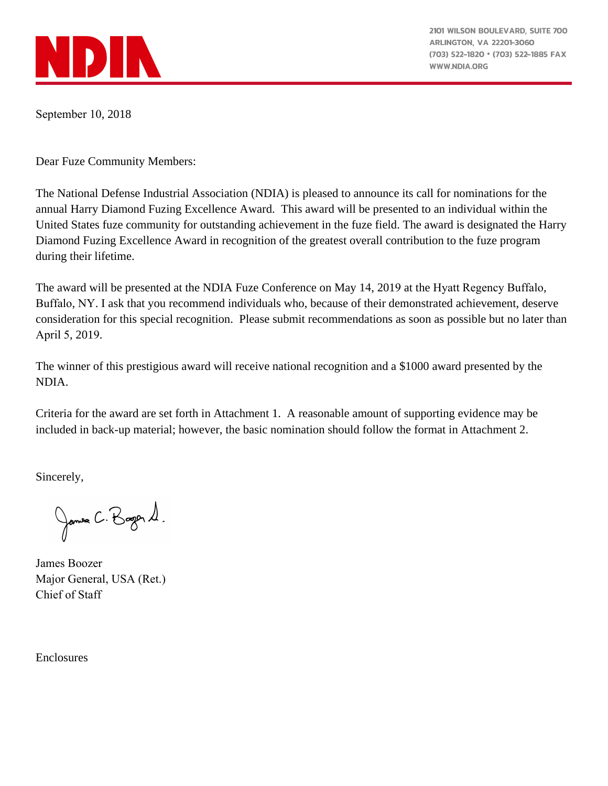

2101 WILSON BOULEVARD, SUITE 700 **ARLINGTON, VA 22201-3060** (703) 522-1820 · (703) 522-1885 FAX **WWW.NDIA.ORG** 

September 10, 2018

Dear Fuze Community Members:

The National Defense Industrial Association (NDIA) is pleased to announce its call for nominations for the annual Harry Diamond Fuzing Excellence Award. This award will be presented to an individual within the United States fuze community for outstanding achievement in the fuze field. The award is designated the Harry Diamond Fuzing Excellence Award in recognition of the greatest overall contribution to the fuze program during their lifetime.

The award will be presented at the NDIA Fuze Conference on May 14, 2019 at the Hyatt Regency Buffalo, Buffalo, NY. I ask that you recommend individuals who, because of their demonstrated achievement, deserve consideration for this special recognition. Please submit recommendations as soon as possible but no later than April 5, 2019.

The winner of this prestigious award will receive national recognition and a \$1000 award presented by the NDIA.

Criteria for the award are set forth in Attachment 1. A reasonable amount of supporting evidence may be included in back-up material; however, the basic nomination should follow the format in Attachment 2.

Sincerely,

James C. Bagor 1.

James Boozer Major General, USA (Ret.) Chief of Staff

Enclosures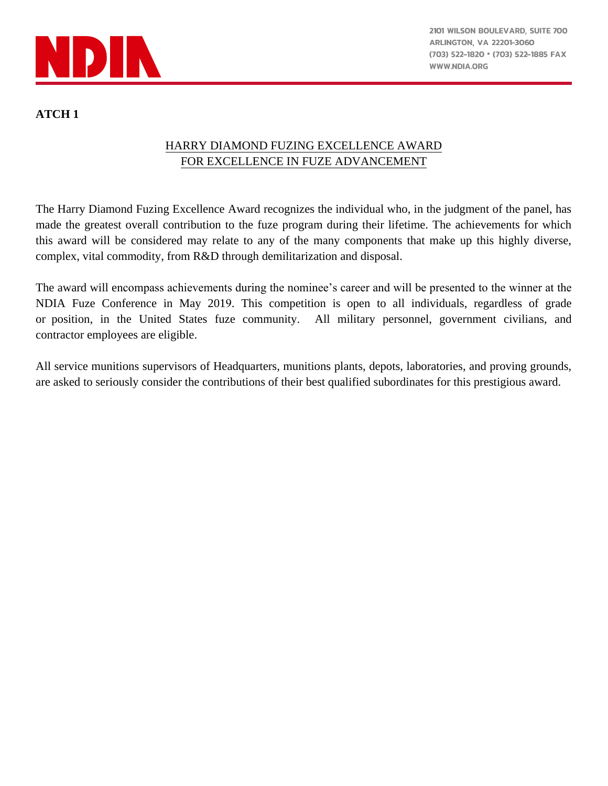

## **ATCH 1**

## HARRY DIAMOND FUZING EXCELLENCE AWARD FOR EXCELLENCE IN FUZE ADVANCEMENT

The Harry Diamond Fuzing Excellence Award recognizes the individual who, in the judgment of the panel, has made the greatest overall contribution to the fuze program during their lifetime. The achievements for which this award will be considered may relate to any of the many components that make up this highly diverse, complex, vital commodity, from R&D through demilitarization and disposal.

The award will encompass achievements during the nominee's career and will be presented to the winner at the NDIA Fuze Conference in May 2019. This competition is open to all individuals, regardless of grade or position, in the United States fuze community. All military personnel, government civilians, and contractor employees are eligible.

All service munitions supervisors of Headquarters, munitions plants, depots, laboratories, and proving grounds, are asked to seriously consider the contributions of their best qualified subordinates for this prestigious award.